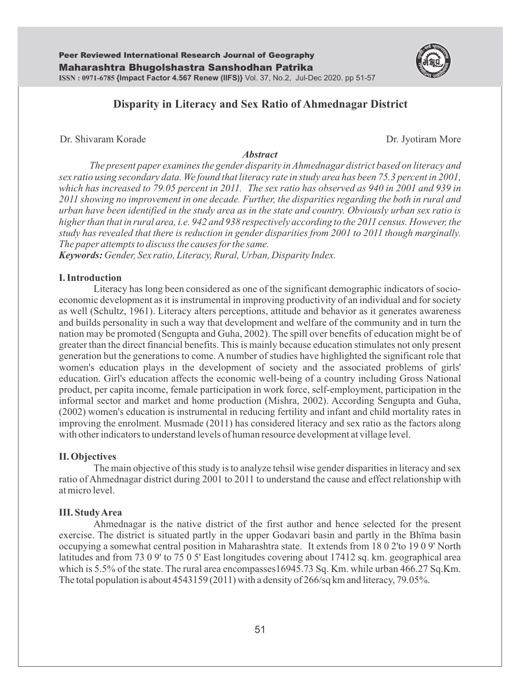

Dr. Shivaram Korade **Dr. Jyotiram More** 

#### *Abstract*

*The present paper examines the gender disparity in Ahmednagar district based on literacy and sex ratio using secondary data. We found that literacy rate in study area has been 75.3 percent in 2001, which has increased to 79.05 percent in 2011. The sex ratio has observed as 940 in 2001 and 939 in 2011 showing no improvement in one decade. Further, the disparities regarding the both in rural and urban have been identified in the study area as in the state and country. Obviously urban sex ratio is higher than that in rural area, i.e. 942 and 938 respectively according to the 2011 census. However, the study has revealed that there is reduction in gender disparities from 2001 to 2011 though marginally. The paper attempts to discuss the causes for the same.* 

*Keywords: Gender, Sex ratio, Literacy, Rural, Urban, Disparity Index.* 

## **I. Introduction**

Literacy has long been considered as one of the significant demographic indicators of socioeconomic development as it is instrumental in improving productivity of an individual and for society as well (Schultz, 1961). Literacy alters perceptions, attitude and behavior as it generates awareness and builds personality in such a way that development and welfare of the community and in turn the nation may be promoted (Sengupta and Guha, 2002). The spill over benefits of education might be of greater than the direct financial benefits. This is mainly because education stimulates not only present generation but the generations to come. A number of studies have highlighted the significant role that women's education plays in the development of society and the associated problems of girls' education. Girl's education affects the economic well-being of a country including Gross National product, per capita income, female participation in work force, self-employment, participation in the informal sector and market and home production (Mishra, 2002). According Sengupta and Guha, (2002) women's education is instrumental in reducing fertility and infant and child mortality rates in improving the enrolment. Musmade (2011) has considered literacy and sex ratio as the factors along with other indicators to understand levels of human resource development at village level.

#### **II. Objectives**

 The main objective of this study is to analyze tehsil wise gender disparities in literacy and sex ratio of Ahmednagar district during 2001 to 2011 to understand the cause and effect relationship with at micro level.

#### **III. Study Area**

 Ahmednagar is the native district of the first author and hence selected for the present exercise. The district is situated partly in the upper Godavari basin and partly in the Bhīma basin occupying a somewhat central position in Maharashtra state. It extends from 18 0 2'to 19 0 9' North latitudes and from 73 0 9' to 75 0 5' East longitudes covering about 17412 sq. km. geographical area which is 5.5% of the state. The rural area encompasses16945.73 Sq. Km. while urban 466.27 Sq.Km. The total population is about 4543159 (2011) with a density of 266/sq km and literacy, 79.05%.

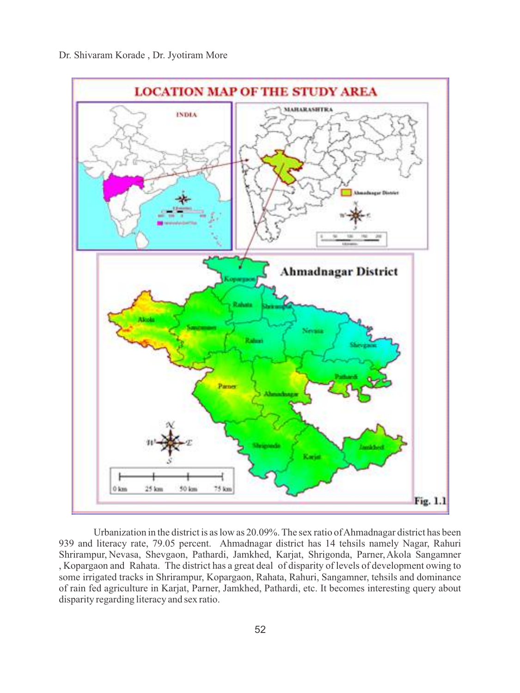

Urbanization in the district is as low as 20.09%. The sex ratio of Ahmadnagar district has been 939 and literacy rate, 79.05 percent. Ahmadnagar district has 14 tehsils namely Nagar, Rahuri Shrirampur, Nevasa, Shevgaon, Pathardi, Jamkhed, Karjat, Shrigonda, Parner, Akola Sangamner , Kopargaon and Rahata. The district has a great deal of disparity of levels of development owing to some irrigated tracks in Shrirampur, Kopargaon, Rahata, Rahuri, Sangamner, tehsils and dominance of rain fed agriculture in Karjat, Parner, Jamkhed, Pathardi, etc. It becomes interesting query about disparity regarding literacy and sex ratio.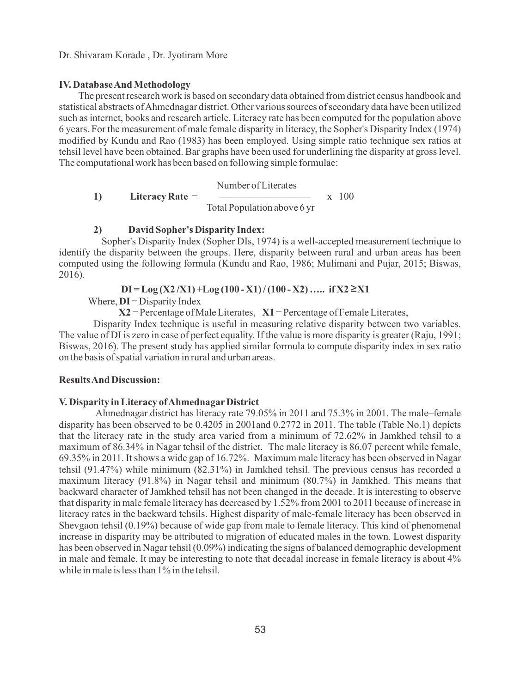#### Dr. Shivaram Korade , Dr. Jyotiram More

# **IV. Database And Methodology**

 The present research work is based on secondary data obtained from district census handbook and statistical abstracts of Ahmednagar district. Other various sources of secondary data have been utilized such as internet, books and research article. Literacy rate has been computed for the population above 6 years. For the measurement of male female disparity in literacy, the Sopher's Disparity Index (1974) modified by Kundu and Rao (1983) has been employed. Using simple ratio technique sex ratios at tehsil level have been obtained. Bar graphs have been used for underlining the disparity at gross level. The computational work has been based on following simple formulae:

Number of Literates

**1) Literacy Rate** = ————————— x 100 Total Population above 6 yr

# **2) David Sopher's Disparity Index:**

Sopher's Disparity Index (Sopher DIs, 1974) is a well-accepted measurement technique to identify the disparity between the groups. Here, disparity between rural and urban areas has been computed using the following formula (Kundu and Rao, 1986; Mulimani and Pujar, 2015; Biswas, 2016).

# $DI = Log (X2/X1) + Log (100 - X1) / (100 - X2)$  ….. if  $X2 \ge X1$

Where,  $DI =$  Disparity Index

**X2** = Percentage of Male Literates, **X1** = Percentage of Female Literates,

Disparity Index technique is useful in measuring relative disparity between two variables. The value of DI is zero in case of perfect equality. If the value is more disparity is greater (Raju, 1991; Biswas, 2016). The present study has applied similar formula to compute disparity index in sex ratio on the basis of spatial variation in rural and urban areas.

# **Results And Discussion:**

## **V. Disparity in Literacy of AhmednagarDistrict**

Ahmednagar district has literacy rate 79.05% in 2011 and 75.3% in 2001. The male–female disparity has been observed to be 0.4205 in 2001and 0.2772 in 2011. The table (Table No.1) depicts that the literacy rate in the study area varied from a minimum of 72.62% in Jamkhed tehsil to a maximum of 86.34% in Nagar tehsil of the district. The male literacy is 86.07 percent while female, 69.35% in 2011. It shows a wide gap of 16.72%. Maximum male literacy has been observed in Nagar tehsil (91.47%) while minimum (82.31%) in Jamkhed tehsil. The previous census has recorded a maximum literacy (91.8%) in Nagar tehsil and minimum (80.7%) in Jamkhed. This means that backward character of Jamkhed tehsil has not been changed in the decade. It is interesting to observe that disparity in male female literacy has decreased by 1.52% from 2001 to 2011 because of increase in literacy rates in the backward tehsils. Highest disparity of male-female literacy has been observed in Shevgaon tehsil (0.19%) because of wide gap from male to female literacy. This kind of phenomenal increase in disparity may be attributed to migration of educated males in the town. Lowest disparity has been observed in Nagar tehsil (0.09%) indicating the signs of balanced demographic development in male and female. It may be interesting to note that decadal increase in female literacy is about 4% while in male is less than 1% in the tehsil.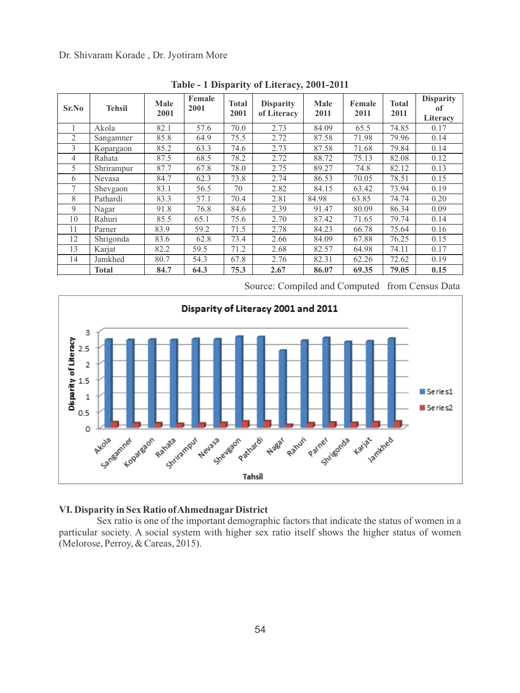Dr. Shivaram Korade , Dr. Jyotiram More

| Sr.No          | <b>Tehsil</b> | Male<br>2001 | Female<br>2001 | <b>Total</b><br>2001 | <b>Disparity</b><br>of Literacy | Male<br>2011 | Female<br>2011 | Total<br>2011 | <b>Disparity</b><br>оf<br>Literacy |
|----------------|---------------|--------------|----------------|----------------------|---------------------------------|--------------|----------------|---------------|------------------------------------|
|                | Akola         | 82.1         | 57.6           | 70.0                 | 2.73                            | 84.09        | 65.5           | 74.85         | 0.17                               |
| 2              | Sangamner     | 85.8         | 64.9           | 75.5                 | 2.72                            | 87.58        | 71.98          | 79.96         | 0.14                               |
| 3              | Kopargaon     | 85.2         | 63.3           | 74.6                 | 2.73                            | 87.58        | 71.68          | 79.84         | 0.14                               |
| $\overline{4}$ | Rahata        | 87.5         | 68.5           | 78.2                 | 2.72                            | 88.72        | 75.13          | 82.08         | 0.12                               |
| 5              | Shrirampur    | 87.7         | 67.8           | 78.0                 | 2.75                            | 89.27        | 74.8           | 82.12         | 0.13                               |
| 6              | Nevasa        | 84.7         | 62.3           | 73.8                 | 2.74                            | 86.53        | 70.05          | 78.51         | 0.15                               |
| 7              | Shevgaon      | 83.1         | 56.5           | 70                   | 2.82                            | 84.15        | 63.42          | 73.94         | 0.19                               |
| 8              | Pathardi      | 83.3         | 57.1           | 70.4                 | 2.81                            | 84.98        | 63.85          | 74.74         | 0.20                               |
| 9              | Nagar         | 91.8         | 76.8           | 84.6                 | 2.39                            | 91.47        | 80.09          | 86.34         | 0.09                               |
| 10             | Rahuri        | 85.5         | 65.1           | 75.6                 | 2.70                            | 87.42        | 71.65          | 79.74         | 0.14                               |
| 11             | Parner        | 83.9         | 59.2           | 71.5                 | 2.78                            | 84.23        | 66.78          | 75.64         | 0.16                               |
| 12             | Shrigonda     | 83.6         | 62.8           | 73.4                 | 2.66                            | 84.09        | 67.88          | 76.25         | 0.15                               |
| 13             | Karjat        | 82.2         | 59.5           | 71.2                 | 2.68                            | 82.57        | 64.98          | 74.11         | 0.17                               |
| 14             | Jamkhed       | 80.7         | 54.3           | 67.8                 | 2.76                            | 82.31        | 62.26          | 72.62         | 0.19                               |
|                | <b>Total</b>  | 84.7         | 64.3           | 75.3                 | 2.67                            | 86.07        | 69.35          | 79.05         | 0.15                               |

**Table - 1 Disparity of Literacy, 2001-2011**

Source: Compiled and Computed from Census Data



# **VI. Disparity in Sex Ratio of AhmednagarDistrict**

Sex ratio is one of the important demographic factors that indicate the status of women in a particular society. A social system with higher sex ratio itself shows the higher status of women (Melorose, Perroy, & Careas, 2015).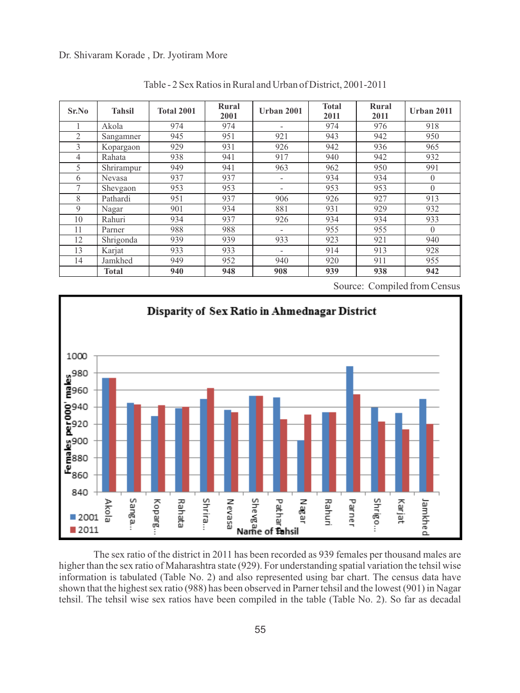Dr. Shivaram Korade , Dr. Jyotiram More

| Sr.No          | <b>Tahsil</b> | <b>Total 2001</b> | Rural<br>2001 | Urban 2001               | <b>Total</b><br>2011 | Rural<br>2011 | Urban 2011 |
|----------------|---------------|-------------------|---------------|--------------------------|----------------------|---------------|------------|
|                | Akola         | 974               | 974           | -                        | 974                  | 976           | 918        |
| $\overline{2}$ | Sangamner     | 945               | 951           | 921                      | 943                  | 942           | 950        |
| 3              | Kopargaon     | 929               | 931           | 926                      | 942                  | 936           | 965        |
| 4              | Rahata        | 938               | 941           | 917                      | 940                  | 942           | 932        |
| 5              | Shrirampur    | 949               | 941           | 963                      | 962                  | 950           | 991        |
| 6              | Nevasa        | 937               | 937           | $\overline{a}$           | 934                  | 934           | $\Omega$   |
| 7              | Shevgaon      | 953               | 953           | $\overline{\phantom{0}}$ | 953                  | 953           | $\theta$   |
| 8              | Pathardi      | 951               | 937           | 906                      | 926                  | 927           | 913        |
| 9              | Nagar         | 901               | 934           | 881                      | 931                  | 929           | 932        |
| 10             | Rahuri        | 934               | 937           | 926                      | 934                  | 934           | 933        |
| 11             | Parner        | 988               | 988           | $\overline{\phantom{0}}$ | 955                  | 955           | $\Omega$   |
| 12             | Shrigonda     | 939               | 939           | 933                      | 923                  | 921           | 940        |
| 13             | Karjat        | 933               | 933           | $\overline{a}$           | 914                  | 913           | 928        |
| 14             | Jamkhed       | 949               | 952           | 940                      | 920                  | 911           | 955        |
|                | Total         | 940               | 948           | 908                      | 939                  | 938           | 942        |

Table - 2 Sex Ratios in Rural and Urban of District, 2001-2011

Source: Compiled from Census



The sex ratio of the district in 2011 has been recorded as 939 females per thousand males are higher than the sex ratio of Maharashtra state (929). For understanding spatial variation the tehsil wise information is tabulated (Table No. 2) and also represented using bar chart. The census data have shown that the highest sex ratio (988) has been observed in Parner tehsil and the lowest (901) in Nagar tehsil. The tehsil wise sex ratios have been compiled in the table (Table No. 2). So far as decadal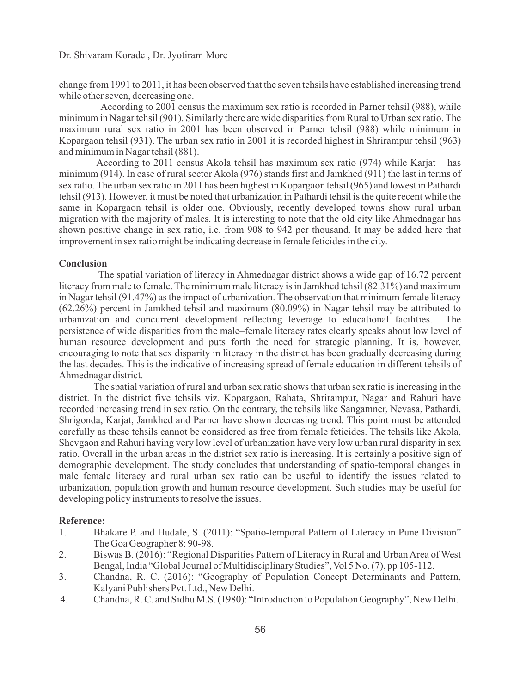change from 1991 to 2011, it has been observed that the seven tehsils have established increasing trend while other seven, decreasing one.

According to 2001 census the maximum sex ratio is recorded in Parner tehsil (988), while minimum in Nagar tehsil (901). Similarly there are wide disparities from Rural to Urban sex ratio. The maximum rural sex ratio in 2001 has been observed in Parner tehsil (988) while minimum in Kopargaon tehsil (931). The urban sex ratio in 2001 it is recorded highest in Shrirampur tehsil (963) and minimum in Nagar tehsil (881).

According to 2011 census Akola tehsil has maximum sex ratio (974) while Karjat has minimum (914). In case of rural sector Akola (976) stands first and Jamkhed (911) the last in terms of sex ratio. The urban sex ratio in 2011 has been highest in Kopargaon tehsil (965) and lowest in Pathardi tehsil (913). However, it must be noted that urbanization in Pathardi tehsil is the quite recent while the same in Kopargaon tehsil is older one. Obviously, recently developed towns show rural urban migration with the majority of males. It is interesting to note that the old city like Ahmednagar has shown positive change in sex ratio, i.e. from 908 to 942 per thousand. It may be added here that improvement in sex ratio might be indicating decrease in female feticides in the city.

#### **Conclusion**

The spatial variation of literacy in Ahmednagar district shows a wide gap of 16.72 percent literacy from male to female. The minimum male literacy is in Jamkhed tehsil (82.31%) and maximum in Nagar tehsil (91.47%) as the impact of urbanization. The observation that minimum female literacy (62.26%) percent in Jamkhed tehsil and maximum (80.09%) in Nagar tehsil may be attributed to urbanization and concurrent development reflecting leverage to educational facilities. The persistence of wide disparities from the male–female literacy rates clearly speaks about low level of human resource development and puts forth the need for strategic planning. It is, however, encouraging to note that sex disparity in literacy in the district has been gradually decreasing during the last decades. This is the indicative of increasing spread of female education in different tehsils of Ahmednagar district.

The spatial variation of rural and urban sex ratio shows that urban sex ratio is increasing in the district. In the district five tehsils viz. Kopargaon, Rahata, Shrirampur, Nagar and Rahuri have recorded increasing trend in sex ratio. On the contrary, the tehsils like Sangamner, Nevasa, Pathardi, Shrigonda, Karjat, Jamkhed and Parner have shown decreasing trend. This point must be attended carefully as these tehsils cannot be considered as free from female feticides. The tehsils like Akola, Shevgaon and Rahuri having very low level of urbanization have very low urban rural disparity in sex ratio. Overall in the urban areas in the district sex ratio is increasing. It is certainly a positive sign of demographic development. The study concludes that understanding of spatio-temporal changes in male female literacy and rural urban sex ratio can be useful to identify the issues related to urbanization, population growth and human resource development. Such studies may be useful for developing policy instruments to resolve the issues.

#### **Reference:**

- 1. Bhakare P. and Hudale, S. (2011): "Spatio-temporal Pattern of Literacy in Pune Division" The Goa Geographer 8: 90-98.
- 2. Biswas B. (2016): "Regional Disparities Pattern of Literacy in Rural and Urban Area of West Bengal, India "Global Journal of Multidisciplinary Studies", Vol 5 No. (7), pp 105-112.
- 3. Chandna, R. C. (2016): "Geography of Population Concept Determinants and Pattern, Kalyani Publishers Pvt. Ltd., New Delhi.
- 4. Chandna, R. C. and Sidhu M.S. (1980): "Introduction to Population Geography", New Delhi.